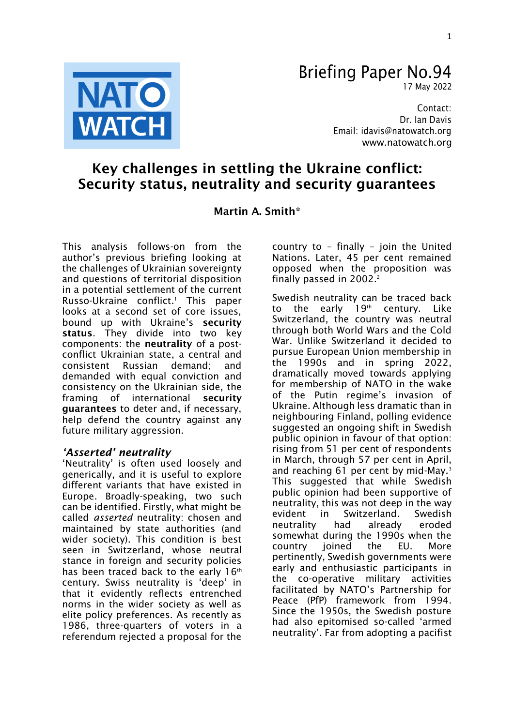

# Briefing Paper No.94

17 May 2022

Contact: Dr. Ian Davis Email: [idavis@natowatch.org](mailto:idavis@natowatch.org) [www.natowatch.org](http://www.natowatch.org/)

## Key challenges in settling the Ukraine conflict: Security status, neutrality and security guarantees

### Martin A. Smith\*

This analysis follows-on from the author's previous briefing looking at the challenges of Ukrainian sovereignty and questions of territorial disposition in a potential settlement of the current Russo-Ukraine conflict.<sup>1</sup> This paper looks at a second set of core issues. bound up with Ukraine's security status. They divide into two key components: the neutrality of a postconflict Ukrainian state, a central and consistent Russian demand; and demanded with equal conviction and consistency on the Ukrainian side, the framing of international security guarantees to deter and, if necessary, help defend the country against any future military aggression.

#### *'Asserted' neutrality*

'Neutrality' is often used loosely and generically, and it is useful to explore different variants that have existed in Europe. Broadly-speaking, two such can be identified. Firstly, what might be called *asserted* neutrality: chosen and maintained by state authorities (and wider society). This condition is best seen in Switzerland, whose neutral stance in foreign and security policies has been traced back to the early 16<sup>th</sup> century. Swiss neutrality is 'deep' in that it evidently reflects entrenched norms in the wider society as well as elite policy preferences. As recently as 1986, three-quarters of voters in a referendum rejected a proposal for the

country to – finally – join the United Nations. Later, 45 per cent remained opposed when the proposition was finally passed in  $2002.<sup>2</sup>$ 

Swedish neutrality can be traced back to the early  $19<sup>th</sup>$  century. Like Switzerland, the country was neutral through both World Wars and the Cold War. Unlike Switzerland it decided to pursue European Union membership in the 1990s and in spring 2022, dramatically moved towards applying for membership of NATO in the wake of the Putin regime's invasion of Ukraine. Although less dramatic than in neighbouring Finland, polling evidence suggested an ongoing shift in Swedish public opinion in favour of that option: rising from 51 per cent of respondents in March, through 57 per cent in April, and reaching 61 per cent by mid-May. $3$ This suggested that while Swedish public opinion had been supportive of neutrality, this was not deep in the way evident in Switzerland. Swedish neutrality had already eroded somewhat during the 1990s when the country joined the EU. More pertinently, Swedish governments were early and enthusiastic participants in the co-operative military activities facilitated by NATO's Partnership for Peace (PfP) framework from 1994. Since the 1950s, the Swedish posture had also epitomised so-called 'armed neutrality'. Far from adopting a pacifist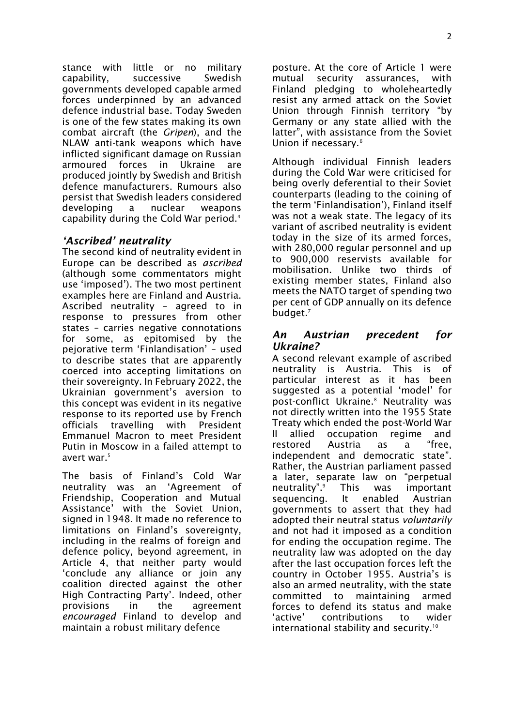stance with little or no military capability, successive Swedish governments developed capable armed forces underpinned by an advanced defence industrial base. Today Sweden is one of the few states making its own combat aircraft (the *Gripen*), and the NLAW anti-tank weapons which have inflicted significant damage on Russian armoured forces in Ukraine are produced jointly by Swedish and British defence manufacturers. Rumours also persist that Swedish leaders considered developing a nuclear weapons capability during the Cold War period.<sup>4</sup>

#### *'Ascribed' neutrality*

The second kind of neutrality evident in Europe can be described as *ascribed* (although some commentators might use 'imposed'). The two most pertinent examples here are Finland and Austria. Ascribed neutrality – agreed to in response to pressures from other states – carries negative connotations for some, as epitomised by the pejorative term 'Finlandisation' – used to describe states that are apparently coerced into accepting limitations on their sovereignty. In February 2022, the Ukrainian government's aversion to this concept was evident in its negative response to its reported use by French officials travelling with President Emmanuel Macron to meet President Putin in Moscow in a failed attempt to avert war.<sup>5</sup>

The basis of Finland's Cold War neutrality was an 'Agreement of Friendship, Cooperation and Mutual Assistance' with the Soviet Union, signed in 1948. It made no reference to limitations on Finland's sovereignty, including in the realms of foreign and defence policy, beyond agreement, in Article 4, that neither party would 'conclude any alliance or join any coalition directed against the other High Contracting Party'. Indeed, other provisions in the agreement *encouraged* Finland to develop and maintain a robust military defence

posture. At the core of Article 1 were mutual security assurances, with Finland pledging to wholeheartedly resist any armed attack on the Soviet Union through Finnish territory "by Germany or any state allied with the latter", with assistance from the Soviet Union if necessary.<sup>6</sup>

Although individual Finnish leaders during the Cold War were criticised for being overly deferential to their Soviet counterparts (leading to the coining of the term 'Finlandisation'), Finland itself was not a weak state. The legacy of its variant of ascribed neutrality is evident today in the size of its armed forces, with 280,000 regular personnel and up to 900,000 reservists available for mobilisation. Unlike two thirds of existing member states, Finland also meets the NATO target of spending two per cent of GDP annually on its defence budget.<sup>7</sup>

#### *An Austrian precedent for Ukraine?*

A second relevant example of ascribed neutrality is Austria. This is of particular interest as it has been suggested as a potential 'model' for post-conflict Ukraine.<sup>8</sup> Neutrality was not directly written into the 1955 State Treaty which ended the post-World War II allied occupation regime and restored Austria as a "free, independent and democratic state". Rather, the Austrian parliament passed a later, separate law on "perpetual neutrality". This was important sequencing. It enabled Austrian governments to assert that they had adopted their neutral status *voluntarily* and not had it imposed as a condition for ending the occupation regime. The neutrality law was adopted on the day after the last occupation forces left the country in October 1955. Austria's is also an armed neutrality, with the state committed to maintaining armed forces to defend its status and make 'active' contributions to wider international stability and security.<sup>10</sup>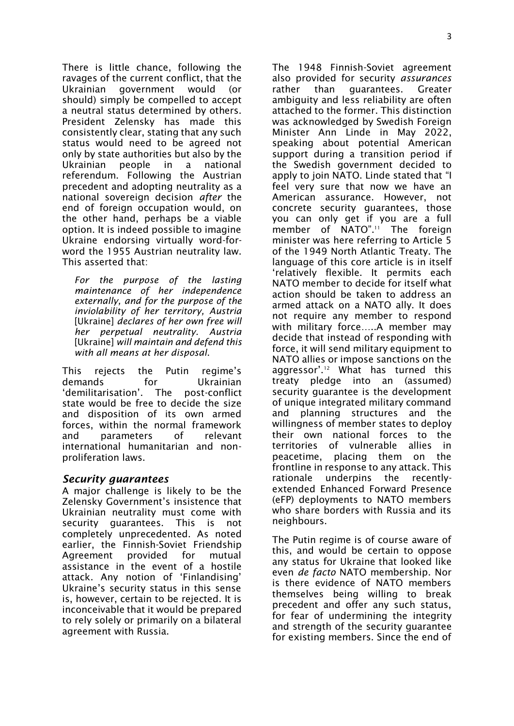3

There is little chance, following the ravages of the current conflict, that the Ukrainian government would (or should) simply be compelled to accept a neutral status determined by others. President Zelensky has made this consistently clear, stating that any such status would need to be agreed not only by state authorities but also by the Ukrainian people in a national referendum. Following the Austrian precedent and adopting neutrality as a national sovereign decision *after* the end of foreign occupation would, on the other hand, perhaps be a viable option. It is indeed possible to imagine Ukraine endorsing virtually word-forword the 1955 Austrian neutrality law. This asserted that:

*For the purpose of the lasting maintenance of her independence externally, and for the purpose of the inviolability of her territory, Austria*  [Ukraine] *declares of her own free will her perpetual neutrality. Austria* [Ukraine] *will maintain and defend this with all means at her disposal*.

This rejects the Putin regime's demands for Ukrainian<br>
'demilitarisation'. The post-conflict 'demilitarisation'. The state would be free to decide the size and disposition of its own armed forces, within the normal framework and parameters of relevant international humanitarian and nonproliferation laws.

#### *Security guarantees*

A major challenge is likely to be the Zelensky Government's insistence that Ukrainian neutrality must come with security guarantees. This is not completely unprecedented. As noted earlier, the Finnish-Soviet Friendship Agreement provided for mutual assistance in the event of a hostile attack. Any notion of 'Finlandising' Ukraine's security status in this sense is, however, certain to be rejected. It is inconceivable that it would be prepared to rely solely or primarily on a bilateral agreement with Russia.

The 1948 Finnish-Soviet agreement also provided for security *assurances* rather than guarantees. Greater ambiguity and less reliability are often attached to the former. This distinction was acknowledged by Swedish Foreign Minister Ann Linde in May 2022, speaking about potential American support during a transition period if the Swedish government decided to apply to join NATO. Linde stated that "I feel very sure that now we have an American assurance. However, not concrete security guarantees, those you can only get if you are a full member of NATO". <sup>11</sup> The foreign minister was here referring to Article 5 of the 1949 North Atlantic Treaty. The language of this core article is in itself 'relatively flexible. It permits each NATO member to decide for itself what action should be taken to address an armed attack on a NATO ally. It does not require any member to respond with military force…..A member may decide that instead of responding with force, it will send military equipment to NATO allies or impose sanctions on the aggressor'.<sup>12</sup> What has turned this treaty pledge into an (assumed) security guarantee is the development of unique integrated military command and planning structures and the willingness of member states to deploy their own national forces to the territories of vulnerable allies in peacetime, placing them on the frontline in response to any attack. This rationale underpins the recentlyextended Enhanced Forward Presence (eFP) deployments to NATO members who share borders with Russia and its neighbours.

The Putin regime is of course aware of this, and would be certain to oppose any status for Ukraine that looked like even *de facto* NATO membership. Nor is there evidence of NATO members themselves being willing to break precedent and offer any such status, for fear of undermining the integrity and strength of the security guarantee for existing members. Since the end of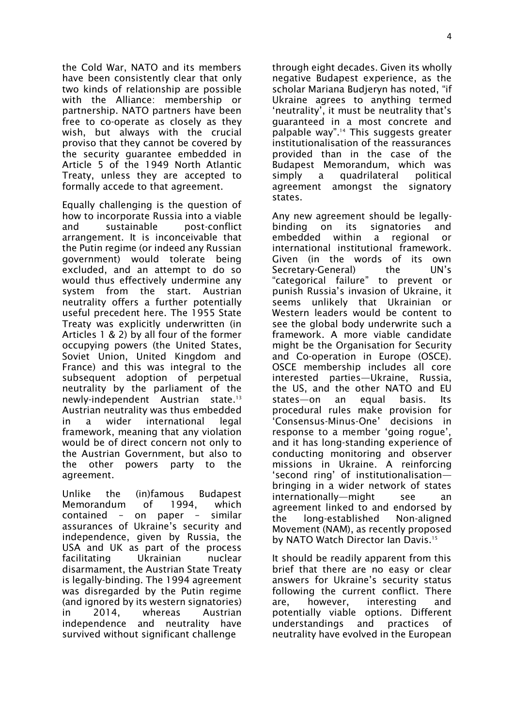the Cold War, NATO and its members have been consistently clear that only two kinds of relationship are possible with the Alliance: membership or partnership. NATO partners have been free to co-operate as closely as they wish, but always with the crucial proviso that they cannot be covered by the security guarantee embedded in Article 5 of the 1949 North Atlantic Treaty, unless they are accepted to formally accede to that agreement.

Equally challenging is the question of how to incorporate Russia into a viable and sustainable post-conflict arrangement. It is inconceivable that the Putin regime (or indeed any Russian government) would tolerate being excluded, and an attempt to do so would thus effectively undermine any system from the start. Austrian neutrality offers a further potentially useful precedent here. The 1955 State Treaty was explicitly underwritten (in Articles 1 & 2) by all four of the former occupying powers (the United States, Soviet Union, United Kingdom and France) and this was integral to the subsequent adoption of perpetual neutrality by the parliament of the newly-independent Austrian state.<sup>13</sup> Austrian neutrality was thus embedded in a wider international legal framework, meaning that any violation would be of direct concern not only to the Austrian Government, but also to the other powers party to the agreement.

Unlike the (in)famous Budapest Memorandum of 1994, which contained – on paper – similar assurances of Ukraine's security and independence, given by Russia, the USA and UK as part of the process facilitating Ukrainian nuclear disarmament, the Austrian State Treaty is legally-binding. The 1994 agreement was disregarded by the Putin regime (and ignored by its western signatories) in 2014, whereas Austrian independence and neutrality have survived without significant challenge

through eight decades. Given its wholly negative Budapest experience, as the scholar Mariana Budjeryn has noted, "if Ukraine agrees to anything termed 'neutrality', it must be neutrality that's guaranteed in a most concrete and palpable way". <sup>14</sup> This suggests greater institutionalisation of the reassurances provided than in the case of the Budapest Memorandum, which was simply a quadrilateral political agreement amongst the signatory states.

Any new agreement should be legallybinding on its signatories and embedded within a regional or international institutional framework. Given (in the words of its own Secretary-General) the UN's "categorical failure" to prevent or punish Russia's invasion of Ukraine, it seems unlikely that Ukrainian or Western leaders would be content to see the global body underwrite such a framework. A more viable candidate might be the Organisation for Security and Co-operation in Europe (OSCE). OSCE membership includes all core interested parties—Ukraine, Russia, the US, and the other NATO and EU states—on an equal basis. Its procedural rules make provision for<br>'Consensus-Minus-One' decisions in 'Consensus-Minus-One' response to a member 'going rogue', and it has long-standing experience of conducting monitoring and observer missions in Ukraine. A reinforcing 'second ring' of institutionalisation bringing in a wider network of states internationally—might see an agreement linked to and endorsed by the long-established Non-aligned Movement (NAM), as recently proposed by NATO Watch Director Ian Davis.<sup>15</sup>

It should be readily apparent from this brief that there are no easy or clear answers for Ukraine's security status following the current conflict. There are, however, interesting and potentially viable options. Different understandings and practices of neutrality have evolved in the European